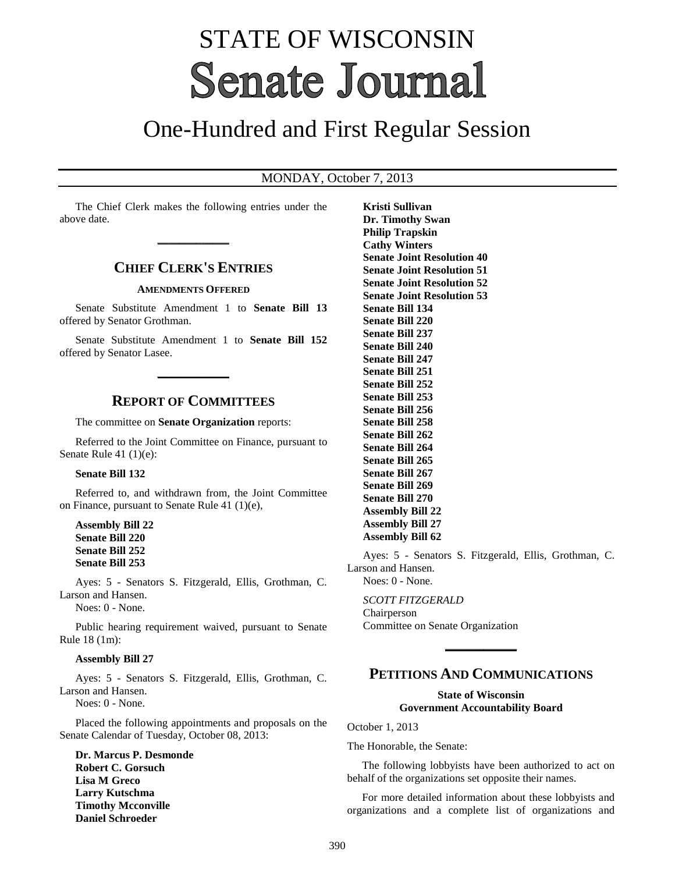# STATE OF WISCONSIN **Senate Journal**

# One-Hundred and First Regular Session

## MONDAY, October 7, 2013

The Chief Clerk makes the following entries under the above date.

**\_\_\_\_\_\_\_\_\_\_\_\_\_**

# **CHIEF CLERK'S ENTRIES**

#### **AMENDMENTS OFFERED**

Senate Substitute Amendment 1 to **Senate Bill 13** offered by Senator Grothman.

Senate Substitute Amendment 1 to **Senate Bill 152** offered by Senator Lasee.

**\_\_\_\_\_\_\_\_\_\_\_\_\_**

### **REPORT OF COMMITTEES**

The committee on **Senate Organization** reports:

Referred to the Joint Committee on Finance, pursuant to Senate Rule 41 (1)(e):

#### **Senate Bill 132**

Referred to, and withdrawn from, the Joint Committee on Finance, pursuant to Senate Rule 41 (1)(e),

**Assembly Bill 22 Senate Bill 220 Senate Bill 252 Senate Bill 253**

Ayes: 5 - Senators S. Fitzgerald, Ellis, Grothman, C. Larson and Hansen.

Noes: 0 - None.

Public hearing requirement waived, pursuant to Senate Rule 18 (1m):

#### **Assembly Bill 27**

Ayes: 5 - Senators S. Fitzgerald, Ellis, Grothman, C. Larson and Hansen.

Noes: 0 - None.

Placed the following appointments and proposals on the Senate Calendar of Tuesday, October 08, 2013:

**Dr. Marcus P. Desmonde Robert C. Gorsuch Lisa M Greco Larry Kutschma Timothy Mcconville Daniel Schroeder**

**Kristi Sullivan Dr. Timothy Swan Philip Trapskin Cathy Winters Senate Joint Resolution 40 Senate Joint Resolution 51 Senate Joint Resolution 52 Senate Joint Resolution 53 Senate Bill 134 Senate Bill 220 Senate Bill 237 Senate Bill 240 Senate Bill 247 Senate Bill 251 Senate Bill 252 Senate Bill 253 Senate Bill 256 Senate Bill 258 Senate Bill 262 Senate Bill 264 Senate Bill 265 Senate Bill 267 Senate Bill 269 Senate Bill 270 Assembly Bill 22 Assembly Bill 27 Assembly Bill 62**

Ayes: 5 - Senators S. Fitzgerald, Ellis, Grothman, C. Larson and Hansen.

Noes: 0 - None.

*SCOTT FITZGERALD* Chairperson Committee on Senate Organization

# **PETITIONS AND COMMUNICATIONS**

**\_\_\_\_\_\_\_\_\_\_\_\_\_**

#### **State of Wisconsin Government Accountability Board**

October 1, 2013

The Honorable, the Senate:

The following lobbyists have been authorized to act on behalf of the organizations set opposite their names.

For more detailed information about these lobbyists and organizations and a complete list of organizations and